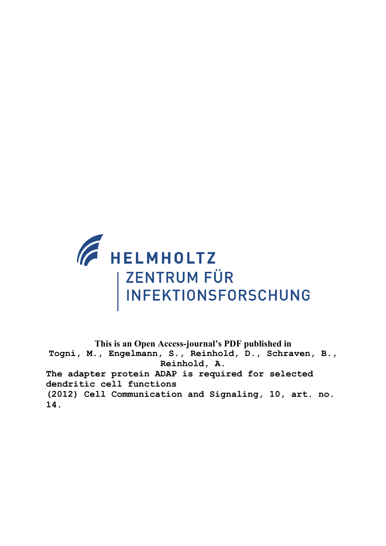

**This is an Open Access-journal's PDF published in Togni, M., Engelmann, S., Reinhold, D., Schraven, B., Reinhold, A. The adapter protein ADAP is required for selected dendritic cell functions (2012) Cell Communication and Signaling, 10, art. no. 14.**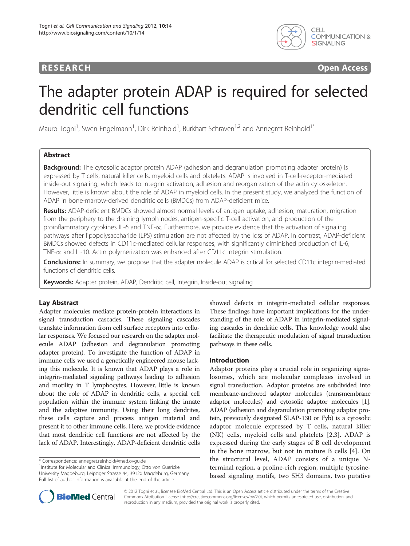# **RESEARCH CONSTRUCTED ACCESS**



# The adapter protein ADAP is required for selected dendritic cell functions

Mauro Togni<sup>1</sup>, Swen Engelmann<sup>1</sup>, Dirk Reinhold<sup>1</sup>, Burkhart Schraven<sup>1,2</sup> and Annegret Reinhold<sup>1\*</sup>

# Abstract

**Background:** The cytosolic adaptor protein ADAP (adhesion and degranulation promoting adapter protein) is expressed by T cells, natural killer cells, myeloid cells and platelets. ADAP is involved in T-cell-receptor-mediated inside-out signaling, which leads to integrin activation, adhesion and reorganization of the actin cytoskeleton. However, little is known about the role of ADAP in myeloid cells. In the present study, we analyzed the function of ADAP in bone-marrow-derived dendritic cells (BMDCs) from ADAP-deficient mice.

Results: ADAP-deficient BMDCs showed almost normal levels of antigen uptake, adhesion, maturation, migration from the periphery to the draining lymph nodes, antigen-specific T-cell activation, and production of the proinflammatory cytokines IL-6 and TNF- $\alpha$ . Furthermore, we provide evidence that the activation of signaling pathways after lipopolysaccharide (LPS) stimulation are not affected by the loss of ADAP. In contrast, ADAP-deficient BMDCs showed defects in CD11c-mediated cellular responses, with significantly diminished production of IL-6, TNF- $\alpha$  and IL-10. Actin polymerization was enhanced after CD11c integrin stimulation.

Conclusions: In summary, we propose that the adapter molecule ADAP is critical for selected CD11c integrin-mediated functions of dendritic cells.

Keywords: Adapter protein, ADAP, Dendritic cell, Integrin, Inside-out signaling

# Lay Abstract

Adapter molecules mediate protein-protein interactions in signal transduction cascades. These signaling cascades translate information from cell surface receptors into cellular responses. We focused our research on the adapter molecule ADAP (adhesion and degranulation promoting adapter protein). To investigate the function of ADAP in immune cells we used a genetically engineered mouse lacking this molecule. It is known that ADAP plays a role in integrin-mediated signaling pathways leading to adhesion and motility in T lymphocytes. However, little is known about the role of ADAP in dendritic cells, a special cell population within the immune system linking the innate and the adaptive immunity. Using their long dendrites, these cells capture and process antigen material and present it to other immune cells. Here, we provide evidence that most dendritic cell functions are not affected by the lack of ADAP. Interestingly, ADAP-deficient dendritic cells

<sup>1</sup>Institute for Molecular and Clinical Immunology, Otto von Guericke University Magdeburg, Leipziger Strasse 44, 39120 Magdeburg, Germany Full list of author information is available at the end of the article

showed defects in integrin-mediated cellular responses. These findings have important implications for the understanding of the role of ADAP in integrin-mediated signaling cascades in dendritic cells. This knowledge would also facilitate the therapeutic modulation of signal transduction pathways in these cells.

### Introduction

Adaptor proteins play a crucial role in organizing signalosomes, which are molecular complexes involved in signal transduction. Adaptor proteins are subdivided into membrane-anchored adaptor molecules (transmembrane adaptor molecules) and cytosolic adaptor molecules [1]. ADAP (adhesion and degranulation promoting adaptor protein, previously designated SLAP-130 or Fyb) is a cytosolic adaptor molecule expressed by T cells, natural killer (NK) cells, myeloid cells and platelets [2,3]. ADAP is expressed during the early stages of B cell development in the bone marrow, but not in mature B cells [4]. On the structural level, ADAP consists of a unique Nterminal region, a proline-rich region, multiple tyrosinebased signaling motifs, two SH3 domains, two putative



© 2012 Togni et al.; licensee BioMed Central Ltd. This is an Open Access article distributed under the terms of the Creative Commons Attribution License ([http://creativecommons.org/licenses/by/2.0\)](http://creativecommons.org/licenses/by/2.0), which permits unrestricted use, distribution, and reproduction in any medium, provided the original work is properly cited.

<sup>\*</sup> Correspondence: [annegret.reinhold@med.ovgu.de](mailto:annegret.reinhold@med.ovgu.de) <sup>1</sup>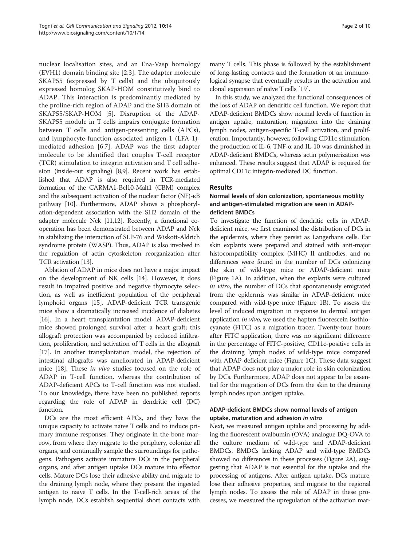nuclear localisation sites, and an Ena-Vasp homology (EVH1) domain binding site [2,3]. The adapter molecule SKAP55 (expressed by T cells) and the ubiquitously expressed homolog SKAP-HOM constitutively bind to ADAP. This interaction is predominantly mediated by the proline-rich region of ADAP and the SH3 domain of SKAP55/SKAP-HOM [5]. Disruption of the ADAP-SKAP55 module in T cells impairs conjugate formation between T cells and antigen-presenting cells (APCs), and lymphocyte-function-associated antigen-1 (LFA-1) mediated adhesion [6,7]. ADAP was the first adapter molecule to be identified that couples T-cell receptor (TCR) stimulation to integrin activation and T cell adhesion (inside-out signaling) [8,9]. Recent work has established that ADAP is also required in TCR-mediated formation of the CARMA1-Bcl10-Malt1 (CBM) complex and the subsequent activation of the nuclear factor (NF)-κB pathway [10]. Furthermore, ADAP shows a phosphorylation-dependent association with the SH2 domain of the adapter molecule Nck [11,12]. Recently, a functional cooperation has been demonstrated between ADAP and Nck in stabilizing the interaction of SLP-76 and Wiskott-Aldrich syndrome protein (WASP). Thus, ADAP is also involved in the regulation of actin cytoskeleton reorganization after TCR activation [13].

Ablation of ADAP in mice does not have a major impact on the development of NK cells [14]. However, it does result in impaired positive and negative thymocyte selection, as well as inefficient population of the peripheral lymphoid organs [15]. ADAP-deficient TCR transgenic mice show a dramatically increased incidence of diabetes [16]. In a heart transplantation model, ADAP-deficient mice showed prolonged survival after a heart graft; this allograft protection was accompanied by reduced infiltration, proliferation, and activation of T cells in the allograft [17]. In another transplantation model, the rejection of intestinal allografts was ameliorated in ADAP-deficient mice [18]. These *in vivo* studies focused on the role of ADAP in T-cell function, whereas the contribution of ADAP-deficient APCs to T-cell function was not studied. To our knowledge, there have been no published reports regarding the role of ADAP in dendritic cell (DC) function.

DCs are the most efficient APCs, and they have the unique capacity to activate naïve T cells and to induce primary immune responses. They originate in the bone marrow, from where they migrate to the periphery, colonize all organs, and continually sample the surroundings for pathogens. Pathogens activate immature DCs in the peripheral organs, and after antigen uptake DCs mature into effector cells. Mature DCs lose their adhesive ability and migrate to the draining lymph node, where they present the ingested antigen to naïve T cells. In the T-cell-rich areas of the lymph node, DCs establish sequential short contacts with many T cells. This phase is followed by the establishment of long-lasting contacts and the formation of an immunological synapse that eventually results in the activation and clonal expansion of naïve T cells [19].

In this study, we analyzed the functional consequences of the loss of ADAP on dendritic cell function. We report that ADAP-deficient BMDCs show normal levels of function in antigen uptake, maturation, migration into the draining lymph nodes, antigen-specific T-cell activation, and proliferation. Importantly, however, following CD11c stimulation, the production of IL-6, TNF- $\alpha$  and IL-10 was diminished in ADAP-deficient BMDCs, whereas actin polymerization was enhanced. These results suggest that ADAP is required for optimal CD11c integrin-mediated DC function.

# Results

# Normal levels of skin colonization, spontaneous motility and antigen-stimulated migration are seen in ADAPdeficient BMDCs

To investigate the function of dendritic cells in ADAPdeficient mice, we first examined the distribution of DCs in the epidermis, where they persist as Langerhans cells. Ear skin explants were prepared and stained with anti-major histocompatibility complex (MHC) II antibodies, and no differences were found in the number of DCs colonizing the skin of wild-type mice or ADAP-deficient mice (Figure 1A). In addition, when the explants were cultured in vitro, the number of DCs that spontaneously emigrated from the epidermis was similar in ADAP-deficient mice compared with wild-type mice (Figure 1B). To assess the level of induced migration in response to dermal antigen application *in vivo*, we used the hapten fluorescein isothiocyanate (FITC) as a migration tracer. Twenty-four hours after FITC application, there was no significant difference in the percentage of FITC-positive, CD11c-positive cells in the draining lymph nodes of wild-type mice compared with ADAP-deficient mice (Figure 1C). These data suggest that ADAP does not play a major role in skin colonization by DCs. Furthermore, ADAP does not appear to be essential for the migration of DCs from the skin to the draining lymph nodes upon antigen uptake.

# ADAP-deficient BMDCs show normal levels of antigen uptake, maturation and adhesion in vitro

Next, we measured antigen uptake and processing by adding the fluorescent ovalbumin (OVA) analogue DQ-OVA to the culture medium of wild-type and ADAP-deficient BMDCs. BMDCs lacking ADAP and wild-type BMDCs showed no differences in these processes (Figure 2A), suggesting that ADAP is not essential for the uptake and the processing of antigens. After antigen uptake, DCs mature, lose their adhesive properties, and migrate to the regional lymph nodes. To assess the role of ADAP in these processes, we measured the upregulation of the activation mar-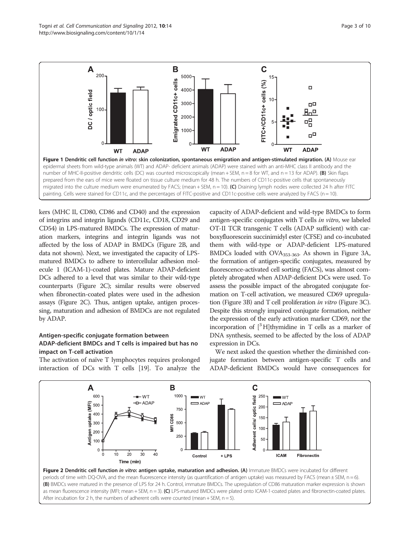kers (MHC II, CD80, CD86 and CD40) and the expression of integrins and integrin ligands (CD11c, CD18, CD29 and CD54) in LPS-matured BMDCs. The expression of maturation markers, integrins and integrin ligands was not affected by the loss of ADAP in BMDCs (Figure 2B, and data not shown). Next, we investigated the capacity of LPSmatured BMDCs to adhere to intercellular adhesion molecule 1 (ICAM-1)-coated plates. Mature ADAP-deficient DCs adhered to a level that was similar to their wild-type counterparts (Figure 2C); similar results were observed when fibronectin-coated plates were used in the adhesion assays (Figure 2C). Thus, antigen uptake, antigen processing, maturation and adhesion of BMDCs are not regulated

# ADAP-deficient BMDCs and T cells is impaired but has no impact on T-cell activation

The activation of naïve T lymphocytes requires prolonged interaction of DCs with T cells [19]. To analyze the

 $-WT$ 

 $-D$  ADAP

40

A

uptake (MFI)

600

 $\overline{500}$ 

.<br>400

.300

**Antigen L**<br>**Antigen** 

 $\mathbf 0$ 

 $\Omega$ 

 $10$  $\dot{20}$  $\dot{30}$  mation on T-cell activation, we measured CD69 upregulation (Figure 3B) and T cell proliferation in vitro (Figure 3C). Despite this strongly impaired conjugate formation, neither the expression of the early activation marker CD69, nor the incorporation of  $\lceil^{3}H\rceil$ thymidine in T cells as a marker of DNA synthesis, seemed to be affected by the loss of ADAP expression in DCs. We next asked the question whether the diminished con-

capacity of ADAP-deficient and wild-type BMDCs to form antigen-specific conjugates with T cells in vitro, we labeled OT-II TCR transgenic T cells (ADAP sufficient) with carboxyfluorescein succinimidyl ester (CFSE) and co-incubated them with wild-type or ADAP-deficient LPS-matured BMDCs loaded with OVA353-363. As shown in Figure 3A, the formation of antigen-specific conjugates, measured by fluorescence-activated cell sorting (FACS), was almost completely abrogated when ADAP-deficient DCs were used. To assess the possible impact of the abrogated conjugate for-

jugate formation between antigen-specific T cells and ADAP-deficient BMDCs would have consequences for

 $W$ T

**JADAF** 

**ICAM** 

Fibronectin

 $\mathbf C$ 

optic field 250

Adherent cells/

200

150

 $100$ 

50

 $\Omega$ 



Control

 $+$  LPS

 $W$ T

 $\Rightarrow$  ADAP

B

MFI CD86

1000

750

500

250

 $\overline{0}$ 



by ADAP. Antigen-specific conjugate formation between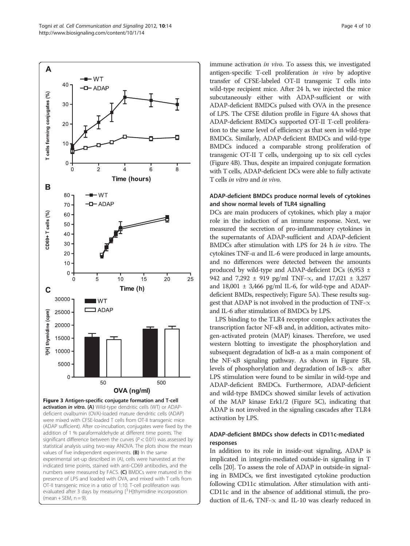

activation in vitro. (A) Wild-type dendritic cells (WT) or ADAPdeficient ovalbumin (OVA)-loaded mature dendritic cells (ADAP) were mixed with CFSE-loaded T cells from OT-II transgenic mice (ADAP sufficient). After co-incubation, conjugates were fixed by the addition of 1 % paraformaldehyde at different time points. The significant difference between the curves ( $P < 0.01$ ) was assessed by statistical analysis using two-way ANOVA. The plots show the mean values of five independent experiments. (B) In the same experimental set-up described in (A), cells were harvested at the indicated time points, stained with anti-CD69 antibodies, and the numbers were measured by FACS. (C) BMDCs were matured in the presence of LPS and loaded with OVA, and mixed with T cells from OT-II transgenic mice in a ratio of 1:10. T-cell proliferation was evaluated after 3 days by measuring  $[^3$  H]thymidine incorporation  $(mean + SEM, n = 9)$ .

immune activation in vivo. To assess this, we investigated antigen-specific T-cell proliferation in vivo by adoptive transfer of CFSE-labeled OT-II transgenic T cells into wild-type recipient mice. After 24 h, we injected the mice subcutaneously either with ADAP-sufficient or with ADAP-deficient BMDCs pulsed with OVA in the presence of LPS. The CFSE dilution profile in Figure 4A shows that ADAP-deficient BMDCs supported OT-II T-cell proliferation to the same level of efficiency as that seen in wild-type BMDCs. Similarly, ADAP-deficient BMDCs and wild-type BMDCs induced a comparable strong proliferation of transgenic OT-II T cells, undergoing up to six cell cycles (Figure 4B). Thus, despite an impaired conjugate formation with T cells, ADAP-deficient DCs were able to fully activate T cells in vitro and in vivo.

### ADAP-deficient BMDCs produce normal levels of cytokines and show normal levels of TLR4 signalling

DCs are main producers of cytokines, which play a major role in the induction of an immune response. Next, we measured the secretion of pro-inflammatory cytokines in the supernatants of ADAP-sufficient and ADAP-deficient BMDCs after stimulation with LPS for 24 h in vitro. The cytokines TNF-α and IL-6 were produced in large amounts, and no differences were detected between the amounts produced by wild-type and ADAP-deficient DCs (6,953 ± 942 and 7,292  $\pm$  919 pg/ml TNF- $\propto$ , and 17,021  $\pm$  3,257 and  $18,001 \pm 3,466$  pg/ml IL-6, for wild-type and ADAPdeficient BMDs, respectively; Figure 5A). These results suggest that ADAP is not involved in the production of TNF- $\alpha$ and IL-6 after stimulation of BMDCs by LPS.

LPS binding to the TLR4 receptor complex activates the transcription factor NF-κB and, in addition, activates mitogen-activated protein (MAP) kinases. Therefore, we used western blotting to investigate the phosphorylation and subsequent degradation of IκB-α as a main component of the NF-κB signaling pathway. As shown in Figure 5B, levels of phosphorylation and degradation of  $I\kappa B-\propto$  after LPS stimulation were found to be similar in wild-type and ADAP-deficient BMDCs. Furthermore, ADAP-deficient and wild-type BMDCs showed similar levels of activation of the MAP kinase Erk1/2 (Figure 5C), indicating that ADAP is not involved in the signaling cascades after TLR4 activation by LPS.

### ADAP-deficient BMDCs show defects in CD11c-mediated responses

In addition to its role in inside-out signaling, ADAP is implicated in integrin-mediated outside-in signaling in T cells [20]. To assess the role of ADAP in outside-in signaling in BMDCs, we first investigated cytokine production following CD11c stimulation. After stimulation with anti-CD11c and in the absence of additional stimuli, the production of IL-6, TNF- $\propto$  and IL-10 was clearly reduced in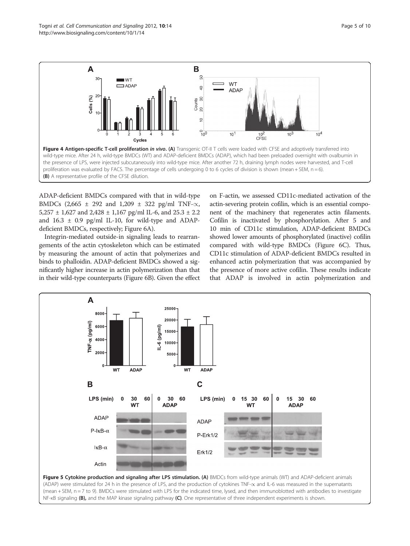

ADAP-deficient BMDCs compared with that in wild-type BMDCs (2,665  $\pm$  292 and 1,209  $\pm$  322 pg/ml TNF- $\propto$ , 5,257  $\pm$  1,627 and 2,428  $\pm$  1,167 pg/ml IL-6, and 25.3  $\pm$  2.2 and 16.3 ± 0.9 pg/ml IL-10, for wild-type and ADAPdeficient BMDCs, respectively; Figure 6A).

Integrin-mediated outside-in signaling leads to rearrangements of the actin cytoskeleton which can be estimated by measuring the amount of actin that polymerizes and binds to phalloidin. ADAP-deficient BMDCs showed a significantly higher increase in actin polymerization than that in their wild-type counterparts (Figure 6B). Given the effect

on F-actin, we assessed CD11c-mediated activation of the actin-severing protein cofilin, which is an essential component of the machinery that regenerates actin filaments. Cofilin is inactivated by phosphorylation. After 5 and 10 min of CD11c stimulation, ADAP-deficient BMDCs showed lower amounts of phosphorylated (inactive) cofilin compared with wild-type BMDCs (Figure 6C). Thus, CD11c stimulation of ADAP-deficient BMDCs resulted in enhanced actin polymerization that was accompanied by the presence of more active cofilin. These results indicate that ADAP is involved in actin polymerization and

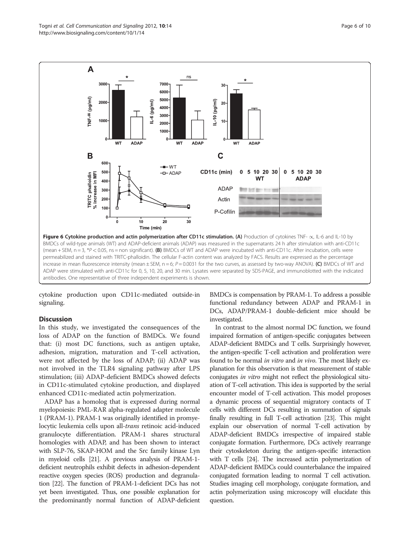

cytokine production upon CD11c-mediated outside-in signaling.

#### **Discussion**

In this study, we investigated the consequences of the loss of ADAP on the function of BMDCs. We found that: (i) most DC functions, such as antigen uptake, adhesion, migration, maturation and T-cell activation, were not affected by the loss of ADAP; (ii) ADAP was not involved in the TLR4 signaling pathway after LPS stimulation; (iii) ADAP-deficient BMDCs showed defects in CD11c-stimulated cytokine production, and displayed enhanced CD11c-mediated actin polymerization.

ADAP has a homolog that is expressed during normal myelopoiesis: PML-RAR alpha-regulated adapter molecule 1 (PRAM-1). PRAM-1 was originally identified in promyelocytic leukemia cells upon all-trans retinoic acid-induced granulocyte differentiation. PRAM-1 shares structural homologies with ADAP, and has been shown to interact with SLP-76, SKAP-HOM and the Src family kinase Lyn in myeloid cells [21]. A previous analysis of PRAM-1 deficient neutrophils exhibit defects in adhesion-dependent reactive oxygen species (ROS) production and degranulation [22]. The function of PRAM-1-deficient DCs has not yet been investigated. Thus, one possible explanation for the predominantly normal function of ADAP-deficient

BMDCs is compensation by PRAM-1. To address a possible functional redundancy between ADAP and PRAM-1 in DCs, ADAP/PRAM-1 double-deficient mice should be investigated.

In contrast to the almost normal DC function, we found impaired formation of antigen-specific conjugates between ADAP-deficient BMDCs and T cells. Surprisingly however, the antigen-specific T-cell activation and proliferation were found to be normal in vitro and in vivo. The most likely explanation for this observation is that measurement of stable conjugates in vitro might not reflect the physiological situation of T-cell activation. This idea is supported by the serial encounter model of T-cell activation. This model proposes a dynamic process of sequential migratory contacts of T cells with different DCs resulting in summation of signals finally resulting in full T-cell activation [23]. This might explain our observation of normal T-cell activation by ADAP-deficient BMDCs irrespective of impaired stable conjugate formation. Furthermore, DCs actively rearrange their cytoskeleton during the antigen-specific interaction with T cells [24]. The increased actin polymerization of ADAP-deficient BMDCs could counterbalance the impaired conjugated formation leading to normal T cell activation. Studies imaging cell morphology, conjugate formation, and actin polymerization using microscopy will elucidate this question.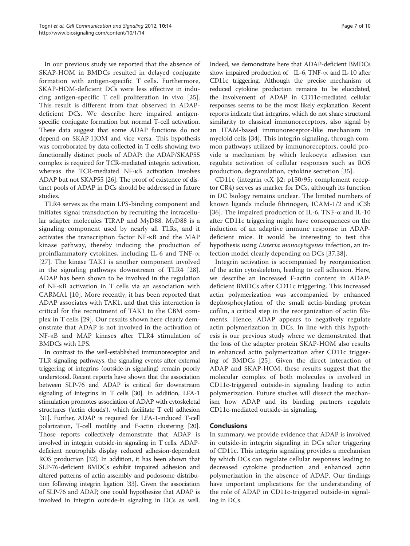In our previous study we reported that the absence of SKAP-HOM in BMDCs resulted in delayed conjugate formation with antigen-specific T cells. Furthermore, SKAP-HOM-deficient DCs were less effective in inducing antigen-specific T cell proliferation in vivo [25]. This result is different from that observed in ADAPdeficient DCs. We describe here impaired antigenspecific conjugate formation but normal T-cell activation. These data suggest that some ADAP functions do not depend on SKAP-HOM and vice versa. This hypothesis was corroborated by data collected in T cells showing two functionally distinct pools of ADAP: the ADAP/SKAP55 complex is required for TCR-mediated integrin activation, whereas the TCR-mediated NF-κB activation involves ADAP but not SKAP55 [26]. The proof of existence of distinct pools of ADAP in DCs should be addressed in future studies.

TLR4 serves as the main LPS-binding component and initiates signal transduction by recruiting the intracellular adapter molecules TIRAP and MyD88. MyD88 is a signaling component used by nearly all TLRs, and it activates the transcription factor NF-κB and the MAP kinase pathway, thereby inducing the production of proinflammatory cytokines, including IL-6 and TNF- $\propto$ [27]. The kinase TAK1 is another component involved in the signaling pathways downstream of TLR4 [28]. ADAP has been shown to be involved in the regulation of NF-κB activation in T cells via an association with CARMA1 [10]. More recently, it has been reported that ADAP associates with TAK1, and that this interaction is critical for the recruitment of TAK1 to the CBM complex in T cells [29]. Our results shown here clearly demonstrate that ADAP is not involved in the activation of NF-κB and MAP kinases after TLR4 stimulation of BMDCs with LPS.

In contrast to the well-established immunoreceptor and TLR signaling pathways, the signaling events after external triggering of integrins (outside-in signaling) remain poorly understood. Recent reports have shown that the association between SLP-76 and ADAP is critical for downstream signaling of integrins in T cells [30]. In addition, LFA-1 stimulation promotes association of ADAP with cytoskeletal structures ('actin clouds'), which facilitate T cell adhesion [31]. Further, ADAP is required for LFA-1-induced T-cell polarization, T-cell motility and F-actin clustering [20]. Those reports collectively demonstrate that ADAP is involved in integrin outside-in signaling in T cells. ADAPdeficient neutrophils display reduced adhesion-dependent ROS production [32]. In addition, it has been shown that SLP-76-deficient BMDCs exhibit impaired adhesion and altered patterns of actin assembly and podosome distribution following integrin ligation [33]. Given the association of SLP-76 and ADAP, one could hypothesize that ADAP is involved in integrin outside-in signaling in DCs as well. Indeed, we demonstrate here that ADAP-deficient BMDCs show impaired production of IL-6, TNF- $\propto$  and IL-10 after CD11c triggering. Although the precise mechanism of reduced cytokine production remains to be elucidated, the involvement of ADAP in CD11c-mediated cellular responses seems to be the most likely explanation. Recent reports indicate that integrins, which do not share structural similarity to classical immunoreceptors, also signal by an ITAM-based immunoreceptor-like mechanism in myeloid cells [34]. This integrin signaling, through common pathways utilized by immunoreceptors, could provide a mechanism by which leukocyte adhesion can regulate activation of cellular responses such as ROS production, degranulation, cytokine secretion [35].

CD11c (integrin  $\propto$ X β2; p150/95; complement receptor CR4) serves as marker for DCs, although its function in DC biology remains unclear. The limited numbers of known ligands include fibrinogen, ICAM-1/2 and iC3b [36]. The impaired production of IL-6, TNF-α and IL-10 after CD11c triggering might have consequences on the induction of an adaptive immune response in ADAPdeficient mice. It would be interesting to test this hypothesis using *Listeria monocytogenes* infection, an infection model clearly depending on DCs [37,38].

Integrin activation is accompanied by reorganization of the actin cytoskeleton, leading to cell adhesion. Here, we describe an increased F-actin content in ADAPdeficient BMDCs after CD11c triggering. This increased actin polymerization was accompanied by enhanced dephosphorylation of the small actin-binding protein cofilin, a critical step in the reorganization of actin filaments. Hence, ADAP appears to negatively regulate actin polymerization in DCs. In line with this hypothesis is our previous study where we demonstrated that the loss of the adapter protein SKAP-HOM also results in enhanced actin polymerization after CD11c triggering of BMDCs [25]. Given the direct interaction of ADAP and SKAP-HOM, these results suggest that the molecular complex of both molecules is involved in CD11c-triggered outside-in signaling leading to actin polymerization. Future studies will dissect the mechanism how ADAP and its binding partners regulate CD11c-mediated outside-in signaling.

# Conclusions

In summary, we provide evidence that ADAP is involved in outside-in integrin signaling in DCs after triggering of CD11c. This integrin signaling provides a mechanism by which DCs can regulate cellular responses leading to decreased cytokine production and enhanced actin polymerization in the absence of ADAP. Our findings have important implications for the understanding of the role of ADAP in CD11c-triggered outside-in signaling in DCs.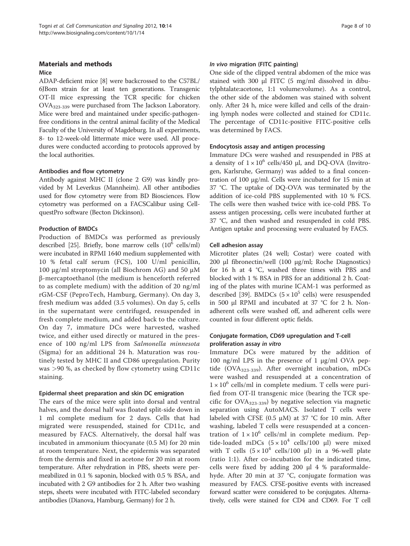## Materials and methods

#### Mice

ADAP-deficient mice [8] were backcrossed to the C57BL/ 6JBom strain for at least ten generations. Transgenic OT-II mice expressing the TCR specific for chicken OVA323-339 were purchased from The Jackson Laboratory. Mice were bred and maintained under specific-pathogenfree conditions in the central animal facility of the Medical Faculty of the University of Magdeburg. In all experiments, 8- to 12-week-old littermate mice were used. All procedures were conducted according to protocols approved by the local authorities.

## Antibodies and flow cytometry

Antibody against MHC II (clone 2 G9) was kindly provided by M Leverkus (Mannheim). All other antibodies used for flow cytometry were from BD Biosciences. Flow cytometry was performed on a FACSCalibur using CellquestPro software (Becton Dickinson).

# Production of BMDCs

Production of BMDCs was performed as previously described [25]. Briefly, bone marrow cells  $(10^6 \text{ cells/ml})$ were incubated in RPMI 1640 medium supplemented with 10 % fetal calf serum (FCS), 100 U/ml penicillin, 100 μg/ml streptomycin (all Biochrom AG) and 50 μM β-mercaptoethanol (the medium is henceforth referred to as complete medium) with the addition of 20 ng/ml rGM-CSF (PeproTech, Hamburg, Germany). On day 3, fresh medium was added (3.5 volumes). On day 5, cells in the supernatant were centrifuged, resuspended in fresh complete medium, and added back to the culture. On day 7, immature DCs were harvested, washed twice, and either used directly or matured in the presence of 100 ng/ml LPS from Salmonella minnesota (Sigma) for an additional 24 h. Maturation was routinely tested by MHC II and CD86 upregulation. Purity was >90 %, as checked by flow cytometry using CD11c staining.

### Epidermal sheet preparation and skin DC emigration

The ears of the mice were split into dorsal and ventral halves, and the dorsal half was floated split-side down in 1 ml complete medium for 2 days. Cells that had migrated were resuspended, stained for CD11c, and measured by FACS. Alternatively, the dorsal half was incubated in ammonium thiocyanate (0.5 M) for 20 min at room temperature. Next, the epidermis was separated from the dermis and fixed in acetone for 20 min at room temperature. After rehydration in PBS, sheets were permeabilized in 0.1 % saponin, blocked with 0.5 % BSA, and incubated with 2 G9 antibodies for 2 h. After two washing steps, sheets were incubated with FITC-labeled secondary antibodies (Dianova, Hamburg, Germany) for 2 h.

#### In vivo migration (FITC painting)

One side of the clipped ventral abdomen of the mice was stained with 300 μl FITC (5 mg/ml dissolved in dibutylphtalate:acetone, 1:1 volume:volume). As a control, the other side of the abdomen was stained with solvent only. After 24 h, mice were killed and cells of the draining lymph nodes were collected and stained for CD11c. The percentage of CD11c-positive FITC-positive cells was determined by FACS.

### Endocytosis assay and antigen processing

Immature DCs were washed and resuspended in PBS at a density of  $1 \times 10^6$  cells/450 μl, and DQ-OVA (Invitrogen, Karlsruhe, Germany) was added to a final concentration of 100 μg/ml. Cells were incubated for 15 min at 37 °C. The uptake of DQ-OVA was terminated by the addition of ice-cold PBS supplemented with 10 % FCS. The cells were then washed twice with ice-cold PBS. To assess antigen processing, cells were incubated further at 37 °C, and then washed and resuspended in cold PBS. Antigen uptake and processing were evaluated by FACS.

### Cell adhesion assay

Microtiter plates (24 well; Costar) were coated with 200 μl fibronectin/well (100 μg/ml; Roche Diagnostics) for 16 h at 4 °C, washed three times with PBS and blocked with 1 % BSA in PBS for an additional 2 h. Coating of the plates with murine ICAM-1 was performed as described [39]. BMDCs  $(5 \times 10^5 \text{ cells})$  were resuspended in 500 μl RPMI and incubated at 37 °C for 2 h. Nonadherent cells were washed off, and adherent cells were counted in four different optic fields.

### Conjugate formation, CD69 upregulation and T-cell proliferation assay in vitro

Immature DCs were matured by the addition of 100 ng/ml LPS in the presence of 1 μg/ml OVA peptide (OVA $_{323-339}$ ). After overnight incubation, mDCs were washed and resuspended at a concentration of  $1 \times 10^6$  cells/ml in complete medium. T cells were purified from OT-II transgenic mice (bearing the TCR specific for  $OVA_{323-339}$ ) by negative selection via magnetic separation using AutoMACS. Isolated T cells were labeled with CFSE (0.5  $\mu$ M) at 37 °C for 10 min. After washing, labeled T cells were resuspended at a concentration of  $1 \times 10^6$  cells/ml in complete medium. Peptide-loaded mDCs  $(5 \times 10^4 \text{ cells}/100 \text{ µl})$  were mixed with T cells  $(5 \times 10^4 \text{ cells}/100 \text{ µ})$  in a 96-well plate (ratio 1:1). After co-incubation for the indicated time, cells were fixed by adding 200 μl 4 % paraformaldehyde. After 20 min at 37 °C, conjugate formation was measured by FACS. CFSE-positive events with increased forward scatter were considered to be conjugates. Alternatively, cells were stained for CD4 and CD69. For T cell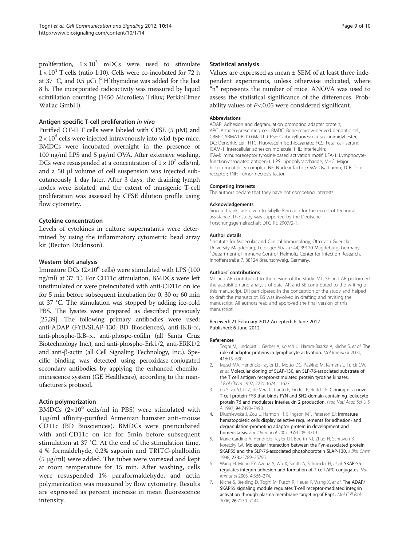proliferation,  $1 \times 10^3$  mDCs were used to stimulate  $1 \times 10^4$  T cells (ratio 1:10). Cells were co-incubated for 72 h at 37 °C, and 0.5  $\mu$ Ci [<sup>3</sup>H]thymidine was added for the last 8 h. The incorporated radioactivity was measured by liquid scintillation counting (1450 MicroBeta Trilux; PerkinElmer Wallac GmbH).

#### Antigen-specific T-cell proliferation in vivo

Purified OT-II T cells were labeled with CFSE  $(5 \mu M)$  and  $2 \times 10^6$  cells were injected intravenously into wild-type mice. BMDCs were incubated overnight in the presence of 100 ng/ml LPS and 5 μg/ml OVA. After extensive washing, DCs were resuspended at a concentration of  $1 \times 10^7$  cells/ml, and a 50 μl volume of cell suspension was injected subcutaneously 1 day later. After 3 days, the draining lymph nodes were isolated, and the extent of transgenic T-cell proliferation was assessed by CFSE dilution profile using flow cytometry.

#### Cytokine concentration

Levels of cytokines in culture supernatants were determined by using the inflammatory cytometric bead array kit (Becton Dickinson).

#### Western blot analysis

Immature DCs  $(2\times10^6 \text{ cells})$  were stimulated with LPS (100 ng/ml) at 37 °C. For CD11c stimulation, BMDCs were left unstimulated or were preincubated with anti-CD11c on ice for 5 min before subsequent incubation for 0, 30 or 60 min at 37 °C. The stimulation was stopped by adding ice-cold PBS. The lysates were prepared as described previously [25,39]. The following primary antibodies were used: anti-ADAP (FYB/SLAP-130; BD Biosciences), anti-IKB- $\propto$ , anti-phospho-IkB- $\propto$ , anti-phospo-cofilin (all Santa Cruz Biotechnology Inc.), and anti-phospho-Erk1/2, anti-ERK1/2 and anti-β-actin (all Cell Signaling Technology, Inc.). Specific binding was detected using peroxidase-conjugated secondary antibodies by applying the enhanced chemiluminescence system (GE Healthcare), according to the manufacturer's protocol.

#### Actin polymerization

BMDCs  $(2\times10^6 \text{ cells/ml}$  in PBS) were stimulated with 1μg/ml affinity-purified Armenian hamster anti-mouse CD11c (BD Biosciences). BMDCs were preincubated with anti-CD11c on ice for 5min before subsequent stimulation at 37 °C. At the end of the stimulation time, 4 % formaldehyde, 0.2% saponin and TRITC-phalloidin (5 μg/ml) were added. The tubes were vortexed and kept at room temperature for 15 min. After washing, cells were resuspended 1% paraformaldehyde, and actin polymerization was measured by flow cytometry. Results are expressed as percent increase in mean fluorescence intensity.

#### Statistical analysis

Values are expressed as mean  $\pm$  SEM of at least three independent experiments, unless otherwise indicated, where "n" represents the number of mice. ANOVA was used to assess the statistical significance of the differences. Probability values of  $P<0.05$  were considered significant.

#### Abbreviations

ADAP: Adhesion and degranulation promoting adapter protein; APC: Antigen-presenting cell; BMDC: Bone-marrow-derived dendritic cell; CBM: CARMA1-Bcl10-Malt1; CFSE: Carboxyfluorescein succinimidyl ester; DC: Dendritic cell; FITC: Fluorescein isothiocyanate; FCS: Fetal calf serum; ICAM-1: Intercellular adhesion molecule 1; IL: Interleukin; ITAM: Immunoreceptor tyrosine-based activation motif; LFA-1: Lymphocytefunction-associated antigen-1; LPS: Lipopolysaccharide; MHC: Major histocompatibility complex; NF: Nuclear factor; OVA: Ovalbumin; TCR: T-cell receptor; TNF: Tumor necrosis factor.

#### Competing interests

The authors declare that they have not competing interests.

#### Acknowledgements

Sincere thanks are given to Sibylle Reimann for the excellent technical assistance. The study was supported by the Deutsche Forschungsgemeinschaft DFG RE 2907/2-1.

#### Author details

<sup>1</sup>Institute for Molecular and Clinical Immunology, Otto von Guericke University Magdeburg, Leipziger Strasse 44, 39120 Magdeburg, Germany. 2 Department of Immune Control, Helmoltz Center for Infection Research, Inhoffenstraße 7, 38124 Braunschweig, Germany.

#### Authors' contributions

MT and AR contributed to the design of the study. MT, SE and AR performed the acquisition and analysis of data. AR and SE contributed to the writing of this manuscript. DR participated in the conception of the study and helped to draft the manuscript. BS was involved in drafting and revising the manuscript. All authors read and approved the final version of this manuscript.

#### Received: 21 February 2012 Accepted: 6 June 2012 Published: 6 June 2012

#### References

- 1. Togni M, Lindquist J, Gerber A, Kolsch U, Hamm-Baarke A, Kliche S, et al: The role of adaptor proteins in lymphocyte activation. Mol Immunol 2004, 41:615–630.
- 2. Musci MA, Hendricks-Taylor LR, Motto DG, Paskind M, Kamens J, Turck CW, et al: Molecular cloning of SLAP-130, an SLP-76-associated substrate of the T cell antigen receptor-stimulated protein tyrosine kinases. J Biol Chem 1997, 272:11674–11677.
- 3. da Silva AJ, Li Z, de Vera C, Canto E, Findell P, Rudd CE: Cloning of a novel T-cell protein FYB that binds FYN and SH2-domain-containing leukocyte protein 76 and modulates interleukin 2 production. Proc Natl Acad Sci U S A 1997, 94:7493–7498.
- 4. Dluzniewska J, Zou L, Harmon IR, Ellingson MT, Peterson EJ: Immature hematopoietic cells display selective requirements for adhesion- and degranulation-promoting adaptor protein in development and homeostatsis. Eur J Immunol 2007, 37:3208–3219.
- 5. Marie-Cardine A, Hendricks-Taylor LR, Boerth NJ, Zhao H, Schraven B, Koretzky GA: Molecular interaction between the Fyn-associated protein SKAP55 and the SLP-76-associated phosphoprotein SLAP-130. J Biol Chem 1998, 273:25789–25795.
- Wang H, Moon EY, Azouz A, Wu X, Smith A, Schneider H, et al: SKAP-55 regulates integrin adhesion and formation of T cell-APC conjugates. Nat Immunol 2003, 4:366–374.
- 7. Kliche S, Breitling D, Togni M, Pusch R, Heuer K, Wang X, et al: The ADAP/ SKAP55 signaling module regulates T-cell receptor-mediated integrin activation through plasma membrane targeting of Rap1. Mol Cell Biol 2006, 26:7130–7144.